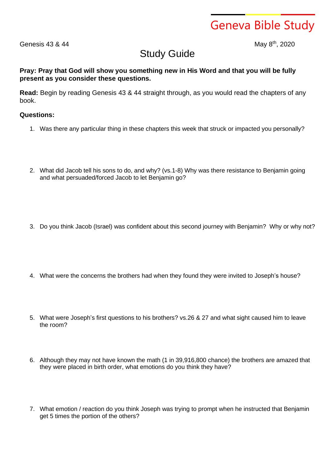Geneva Bible Study

Genesis  $43 & 44$ 

th , 2020

## Study Guide

## **Pray: Pray that God will show you something new in His Word and that you will be fully present as you consider these questions.**

**Read:** Begin by reading Genesis 43 & 44 straight through, as you would read the chapters of any book.

## **Questions:**

- 1. Was there any particular thing in these chapters this week that struck or impacted you personally?
- 2. What did Jacob tell his sons to do, and why? (vs.1-8) Why was there resistance to Benjamin going and what persuaded/forced Jacob to let Benjamin go?
- 3. Do you think Jacob (Israel) was confident about this second journey with Benjamin? Why or why not?
- 4. What were the concerns the brothers had when they found they were invited to Joseph's house?
- 5. What were Joseph's first questions to his brothers? vs.26 & 27 and what sight caused him to leave the room?
- 6. Although they may not have known the math (1 in 39,916,800 chance) the brothers are amazed that they were placed in birth order, what emotions do you think they have?
- 7. What emotion / reaction do you think Joseph was trying to prompt when he instructed that Benjamin get 5 times the portion of the others?